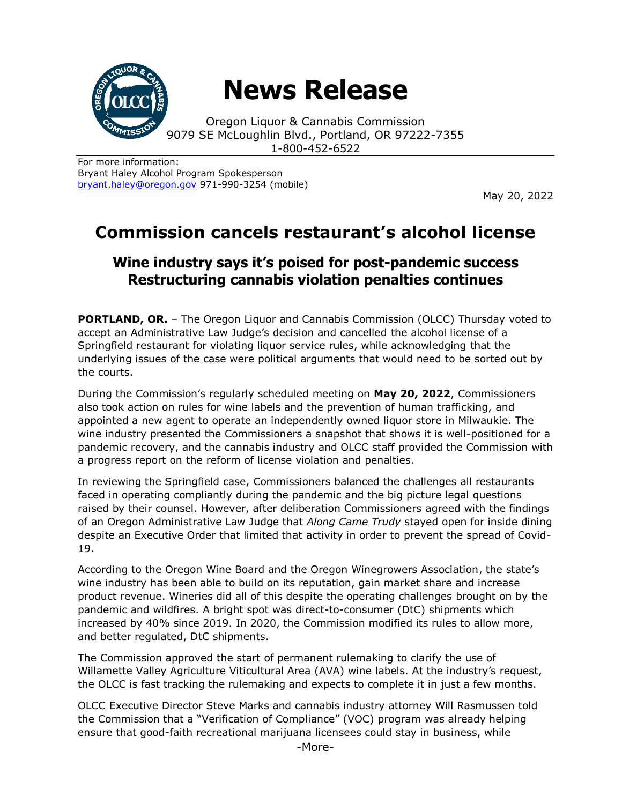

# **News Release**

Oregon Liquor & Cannabis Commission 9079 SE McLoughlin Blvd., Portland, OR 97222-7355 1-800-452-6522

For more information: Bryant Haley Alcohol Program Spokesperson [bryant.haley@oregon.gov](file:///C:/Users/mark.pettinger/AppData/Local/Microsoft/Windows/INetCache/Content.Outlook/ZTRJ5L75/bryant.haley@oregon.gov) 971-990-3254 (mobile)

May 20, 2022

## **Commission cancels restaurant's alcohol license**

## **Wine industry says it's poised for post-pandemic success Restructuring cannabis violation penalties continues**

**PORTLAND, OR.** – The Oregon Liquor and Cannabis Commission (OLCC) Thursday voted to accept an Administrative Law Judge's decision and cancelled the alcohol license of a Springfield restaurant for violating liquor service rules, while acknowledging that the underlying issues of the case were political arguments that would need to be sorted out by the courts.

During the Commission's regularly scheduled meeting on **May 20, 2022**, Commissioners also took action on rules for wine labels and the prevention of human trafficking, and appointed a new agent to operate an independently owned liquor store in Milwaukie. The wine industry presented the Commissioners a snapshot that shows it is well-positioned for a pandemic recovery, and the cannabis industry and OLCC staff provided the Commission with a progress report on the reform of license violation and penalties.

In reviewing the Springfield case, Commissioners balanced the challenges all restaurants faced in operating compliantly during the pandemic and the big picture legal questions raised by their counsel. However, after deliberation Commissioners agreed with the findings of an Oregon Administrative Law Judge that *Along Came Trudy* stayed open for inside dining despite an Executive Order that limited that activity in order to prevent the spread of Covid-19.

According to the Oregon Wine Board and the Oregon Winegrowers Association, the state's wine industry has been able to build on its reputation, gain market share and increase product revenue. Wineries did all of this despite the operating challenges brought on by the pandemic and wildfires. A bright spot was direct-to-consumer (DtC) shipments which increased by 40% since 2019. In 2020, the Commission modified its rules to allow more, and better regulated, DtC shipments.

The Commission approved the start of permanent rulemaking to clarify the use of Willamette Valley Agriculture Viticultural Area (AVA) wine labels. At the industry's request, the OLCC is fast tracking the rulemaking and expects to complete it in just a few months.

OLCC Executive Director Steve Marks and cannabis industry attorney Will Rasmussen told the Commission that a "Verification of Compliance" (VOC) program was already helping ensure that good-faith recreational marijuana licensees could stay in business, while